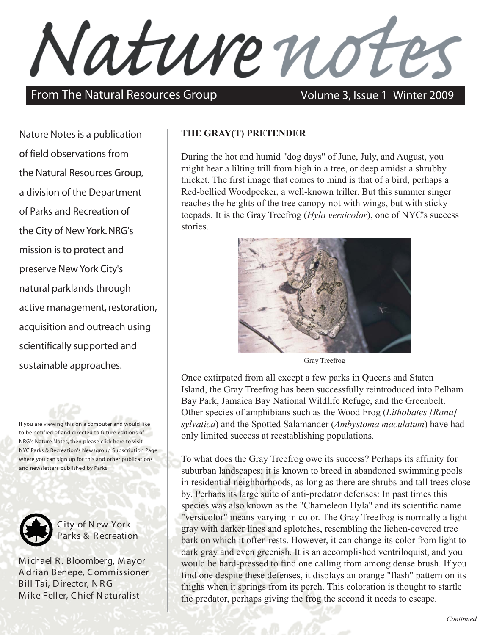Nature not

## From The Natural Resources Group Volume 3, Issue 1 Winter 2009

Nature Notes is a publication of field observations from the Natural Resources Group, a division of the Department of Parks and Recreation of the City of New York. NRG's mission is to protect and preserve New York City's natural parklands through active management, restoration, acquisition and outreach using scientifically supported and sustainable approaches.

If you are viewing this on a computer and would like to be notified of and directed to future editions of NRG's Nature Notes, then please click here to visit [NYC Parks & Recreation's Newsgroup Subscription Page](http://www.nycgovparks.org/newsgroup/lists/?p=subscribe&id=1) where you can sign up for this and other publications and newsletters published by Parks.



C ity of N ew York Parks & Recreation

M ichael R . Bloomberg, M ayor A drian Benepe, C ommissioner Bill Tai, Director, NRG M ike Feller, C hief N aturalist

## **THE GRAY(T) PRETENDER**

During the hot and humid "dog days" of June, July, and August, you might hear a lilting trill from high in a tree, or deep amidst a shrubby thicket. The first image that comes to mind is that of a bird, perhaps a Red-bellied Woodpecker, a well-known triller. But this summer singer reaches the heights of the tree canopy not with wings, but with sticky toepads. It is the Gray Treefrog (*Hyla versicolor*), one of NYC's success stories.



Gray Treefrog

Once extirpated from all except a few parks in Queens and Staten Island, the Gray Treefrog has been successfully reintroduced into Pelham Bay Park, Jamaica Bay National Wildlife Refuge, and the Greenbelt. Other species of amphibians such as the Wood Frog (*Lithobates [Rana] sylvatica*) and the Spotted Salamander (*Ambystoma maculatum*) have had only limited success at reestablishing populations.

To what does the Gray Treefrog owe its success? Perhaps its affinity for suburban landscapes; it is known to breed in abandoned swimming pools in residential neighborhoods, as long as there are shrubs and tall trees close by. Perhaps its large suite of anti-predator defenses: In past times this species was also known as the "Chameleon Hyla" and its scientific name "versicolor" means varying in color. The Gray Treefrog is normally a light gray with darker lines and splotches, resembling the lichen-covered tree bark on which it often rests. However, it can change its color from light to dark gray and even greenish. It is an accomplished ventriloquist, and you would be hard-pressed to find one calling from among dense brush. If you find one despite these defenses, it displays an orange "flash" pattern on its thighs when it springs from its perch. This coloration is thought to startle the predator, perhaps giving the frog the second it needs to escape.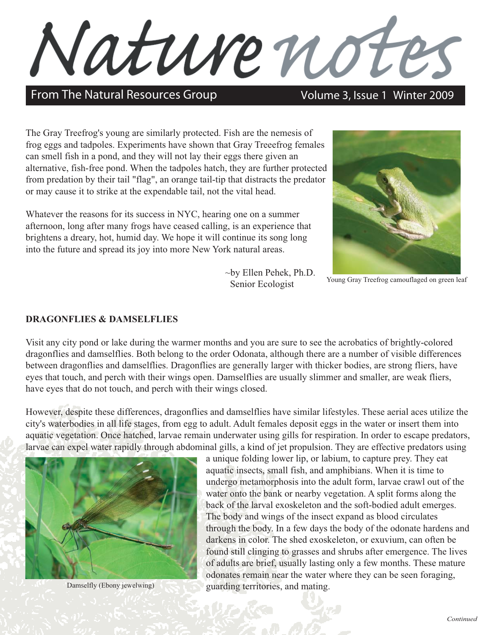Nature note

# From The Natural Resources Group Volume 3, Issue 1 Winter 2009

The Gray Treefrog's young are similarly protected. Fish are the nemesis of frog eggs and tadpoles. Experiments have shown that Gray Treeefrog females can smell fish in a pond, and they will not lay their eggs there given an alternative, fish-free pond. When the tadpoles hatch, they are further protected from predation by their tail "flag", an orange tail-tip that distracts the predator or may cause it to strike at the expendable tail, not the vital head.

Whatever the reasons for its success in NYC, hearing one on a summer afternoon, long after many frogs have ceased calling, is an experience that brightens a dreary, hot, humid day. We hope it will continue its song long into the future and spread its joy into more New York natural areas.

> ~by Ellen Pehek, Ph.D. Senior Ecologist



Young Gray Treefrog camouflaged on green leaf

### **DRAGONFLIES & DAMSELFLIES**

Visit any city pond or lake during the warmer months and you are sure to see the acrobatics of brightly-colored dragonflies and damselflies. Both belong to the order Odonata, although there are a number of visible differences between dragonflies and damselflies. Dragonflies are generally larger with thicker bodies, are strong fliers, have eyes that touch, and perch with their wings open. Damselflies are usually slimmer and smaller, are weak fliers, have eyes that do not touch, and perch with their wings closed.

However, despite these differences, dragonflies and damselflies have similar lifestyles. These aerial aces utilize the city's waterbodies in all life stages, from egg to adult. Adult females deposit eggs in the water or insert them into aquatic vegetation. Once hatched, larvae remain underwater using gills for respiration. In order to escape predators, larvae can expel water rapidly through abdominal gills, a kind of jet propulsion. They are effective predators using



Damselfly (Ebony jewelwing)

 a unique folding lower lip, or labium, to capture prey. They eat aquatic insects, small fish, and amphibians. When it is time to undergo metamorphosis into the adult form, larvae crawl out of the water onto the bank or nearby vegetation. A split forms along the back of the larval exoskeleton and the soft-bodied adult emerges. The body and wings of the insect expand as blood circulates through the body. In a few days the body of the odonate hardens and darkens in color. The shed exoskeleton, or exuvium, can often be found still clinging to grasses and shrubs after emergence. The lives of adults are brief, usually lasting only a few months. These mature odonates remain near the water where they can be seen foraging, guarding territories, and mating.